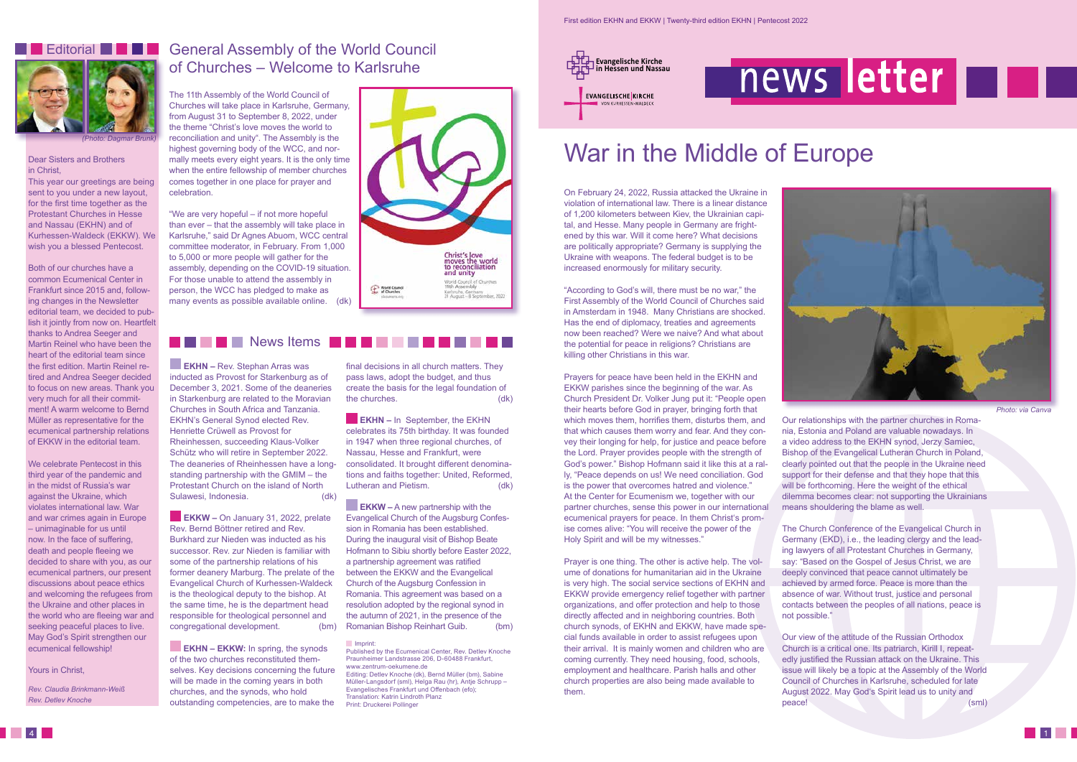#### Dear Sisters and Brothers in Christ,

This year our greetings are being sent to you under a new layout, for the first time together as the Protestant Churches in Hesse and Nassau (EKHN) and of Kurhessen-Waldeck (EKKW). We wish you a blessed Pentecost.

Both of our churches have a common Ecumenical Center in Frankfurt since 2015 and, following changes in the Newsletter editorial team, we decided to publish it jointly from now on. Heartfelt thanks to Andrea Seeger and Martin Reinel who have been the heart of the editorial team since the first edition. Martin Reinel retired and Andrea Seeger decided to focus on new areas. Thank you very much for all their commitment! A warm welcome to Bernd Müller as representative for the ecumenical partnership relations of EKKW in the editorial team.

We celebrate Pentecost in this third year of the pandemic and in the midst of Russia's war against the Ukraine, which violates international law. War and war crimes again in Europe – unimaginable for us until now. In the face of suffering, death and people fleeing we decided to share with you, as our ecumenical partners, our present discussions about peace ethics and welcoming the refugees from the Ukraine and other places in the world who are fleeing war and seeking peaceful places to live. May God's Spirit strengthen our ecumenical fellowship!

### Yours in Christ,

*Rev. Claudia Brinkmann-Weiß Rev. Detlev Knoche*

# *(Photo: Dagmar Brunk)* **Editorial BULLER**

On February 24, 2022, Russia attacked the Ukraine in violation of international law. There is a linear distance of 1,200 kilometers between Kiev, the Ukrainian capital, and Hesse. Many people in Germany are frightened by this war. Will it come here? What decisions are politically appropriate? Germany is supplying the Ukraine with weapons. The federal budget is to be increased enormously for military security.

"According to God's will, there must be no war," the First Assembly of the World Council of Churches said in Amsterdam in 1948. Many Christians are shocked. Has the end of diplomacy, treaties and agreements now been reached? Were we naive? And what about the potential for peace in religions? Christians are killing other Christians in this war.

Prayers for peace have been held in the EKHN and EKKW parishes since the beginning of the war. As Church President Dr. Volker Jung put it: "People open their hearts before God in prayer, bringing forth that which moves them, horrifies them, disturbs them, and that which causes them worry and fear. And they convey their longing for help, for justice and peace before the Lord. Prayer provides people with the strength of God's power." Bishop Hofmann said it like this at a rally, "Peace depends on us! We need conciliation. God is the power that overcomes hatred and violence." At the Center for Ecumenism we, together with our partner churches, sense this power in our international ecumenical prayers for peace. In them Christ's promise comes alive: "You will receive the power of the Holy Spirit and will be my witnesses."

Prayer is one thing. The other is active help. The volume of donations for humanitarian aid in the Ukraine is very high. The social service sections of EKHN and EKKW provide emergency relief together with partner organizations, and offer protection and help to those directly affected and in neighboring countries. Both church synods, of EKHN and EKKW, have made special funds available in order to assist refugees upon their arrival. It is mainly women and children who are coming currently. They need housing, food, schools, employment and healthcare. Parish halls and other church properties are also being made available to them.

**EKKW – On January 31, 2022, prelate** Rev. Bernd Böttner retired and Rev. Burkhard zur Nieden was inducted as his successor. Rev. zur Nieden is familiar with some of the partnership relations of his former deanery Marburg. The prelate of the Evangelical Church of Kurhessen-Waldeck is the theological deputy to the bishop. At the same time, he is the department head responsible for theological personnel and congregational development. (bm)

**EKHN – EKKW:** In spring, the synods of the two churches reconstituted themselves. Key decisions concerning the future will be made in the coming years in both churches, and the synods, who hold outstanding competencies, are to make the

final decisions in all church matters. They pass laws, adopt the budget, and thus create the basis for the legal foundation of the churches. (dk)



**EKHN** – In September, the EKHN celebrates its 75th birthday. It was founded in 1947 when three regional churches, of Nassau, Hesse and Frankfurt, were consolidated. It brought different denominations and faiths together: United, Reformed, Lutheran and Pietism. (dk) Our relationships with the partner churches in Romania, Estonia and Poland are valuable nowadays. In a video address to the EKHN synod, Jerzy Samiec, Bishop of the Evangelical Lutheran Church in Poland, clearly pointed out that the people in the Ukraine need support for their defense and that they hope that this will be forthcoming. Here the weight of the ethical dilemma becomes clear: not supporting the Ukrainians means shouldering the blame as well.

**EKKW** – A new partnership with the Evangelical Church of the Augsburg Confession in Romania has been established. During the inaugural visit of Bishop Beate Hofmann to Sibiu shortly before Easter 2022, a partnership agreement was ratified between the EKKW and the Evangelical Church of the Augsburg Confession in Romania. This agreement was based on a resolution adopted by the regional synod in the autumn of 2021, in the presence of the Romanian Bishop Reinhart Guib. (bm)

The Church Conference of the Evangelical Church in Germany (EKD), i.e., the leading clergy and the leading lawyers of all Protestant Churches in Germany, say: "Based on the Gospel of Jesus Christ, we are deeply convinced that peace cannot ultimately be achieved by armed force. Peace is more than the absence of war. Without trust, justice and personal contacts between the peoples of all nations, peace is

not possible."

peace! (sml)



Our view of the attitude of the Russian Orthodox Church is a critical one. Its patriarch, Kirill I, repeatedly justified the Russian attack on the Ukraine. This issue will likely be a topic at the Assembly of the World Council of Churches in Karlsruhe, scheduled for late August 2022. May God's Spirit lead us to unity and

*Photo: via Canva*

### General Assembly of the World Council of Churches – Welcome to Karlsruhe

# War in the Middle of Europe

The 11th Assembly of the World Council of Churches will take place in Karlsruhe, Germany, from August 31 to September 8, 2022, under the theme "Christ's love moves the world to reconciliation and unity". The Assembly is the highest governing body of the WCC, and normally meets every eight years. It is the only time when the entire fellowship of member churches comes together in one place for prayer and celebration.

"We are very hopeful – if not more hopeful than ever – that the assembly will take place in Karlsruhe," said Dr Agnes Abuom, WCC central committee moderator, in February. From 1,000 to 5,000 or more people will gather for the assembly, depending on the COVID-19 situation. For those unable to attend the assembly in person, the WCC has pledged to make as many events as possible available online. (dk)

### **News Items**

**EKHN –** Rev. Stephan Arras was inducted as Provost for Starkenburg as of December 3, 2021. Some of the deaneries in Starkenburg are related to the Moravian Churches in South Africa and Tanzania. EKHN's General Synod elected Rev. Henriette Crüwell as Provost for Rheinhessen, succeeding Klaus-Volker Schütz who will retire in September 2022. The deaneries of Rheinhessen have a longstanding partnership with the GMIM – the Protestant Church on the island of North Sulawesi, Indonesia. (dk)

Imprint:

Published by the Ecumenical Center, Rev. Detlev Knoche Praunheimer Landstrasse 206, D-60488 Frankfurt, www.zentrum-oekumene.de Editing: Detlev Knoche (dk), Bernd Müller (bm), Sabine Müller-Langsdorf (sml), Helga Rau (hr), Antje Schrupp –

Evangelisches Frankfurt und Offenbach (efo); Translation: Katrin Lindroth Planz Print: Druckerei Pollinger